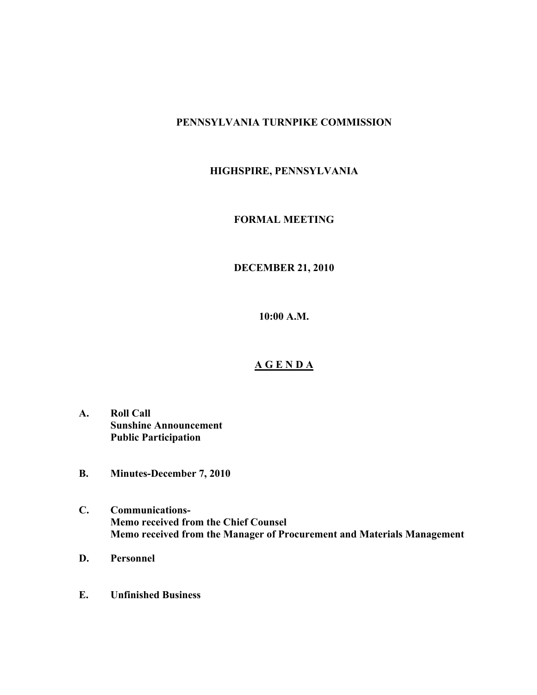## **PENNSYLVANIA TURNPIKE COMMISSION**

# **HIGHSPIRE, PENNSYLVANIA**

#### **FORMAL MEETING**

### **DECEMBER 21, 2010**

**10:00 A.M.**

#### **A G E N D A**

- **A. Roll Call Sunshine Announcement Public Participation**
- **B. Minutes-December 7, 2010**
- **C. Communications-Memo received from the Chief Counsel Memo received from the Manager of Procurement and Materials Management**
- **D. Personnel**
- **E. Unfinished Business**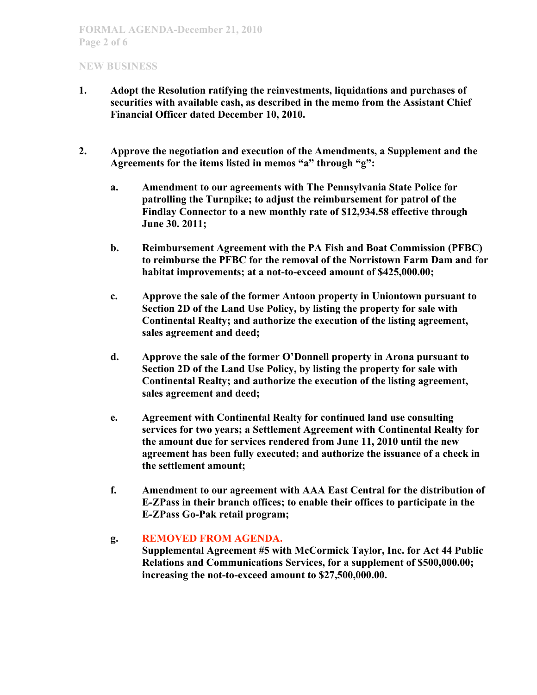- **1. Adopt the Resolution ratifying the reinvestments, liquidations and purchases of securities with available cash, as described in the memo from the Assistant Chief Financial Officer dated December 10, 2010.**
- **2. Approve the negotiation and execution of the Amendments, a Supplement and the Agreements for the items listed in memos "a" through "g":**
	- **a. Amendment to our agreements with The Pennsylvania State Police for patrolling the Turnpike; to adjust the reimbursement for patrol of the Findlay Connector to a new monthly rate of \$12,934.58 effective through June 30. 2011;**
	- **b. Reimbursement Agreement with the PA Fish and Boat Commission (PFBC) to reimburse the PFBC for the removal of the Norristown Farm Dam and for habitat improvements; at a not-to-exceed amount of \$425,000.00;**
	- **c. Approve the sale of the former Antoon property in Uniontown pursuant to Section 2D of the Land Use Policy, by listing the property for sale with Continental Realty; and authorize the execution of the listing agreement, sales agreement and deed;**
	- **d. Approve the sale of the former O'Donnell property in Arona pursuant to Section 2D of the Land Use Policy, by listing the property for sale with Continental Realty; and authorize the execution of the listing agreement, sales agreement and deed;**
	- **e. Agreement with Continental Realty for continued land use consulting services for two years; a Settlement Agreement with Continental Realty for the amount due for services rendered from June 11, 2010 until the new agreement has been fully executed; and authorize the issuance of a check in the settlement amount;**
	- **f. Amendment to our agreement with AAA East Central for the distribution of E-ZPass in their branch offices; to enable their offices to participate in the E-ZPass Go-Pak retail program;**

### **g. REMOVED FROM AGENDA.**

**Supplemental Agreement #5 with McCormick Taylor, Inc. for Act 44 Public Relations and Communications Services, for a supplement of \$500,000.00; increasing the not-to-exceed amount to \$27,500,000.00.**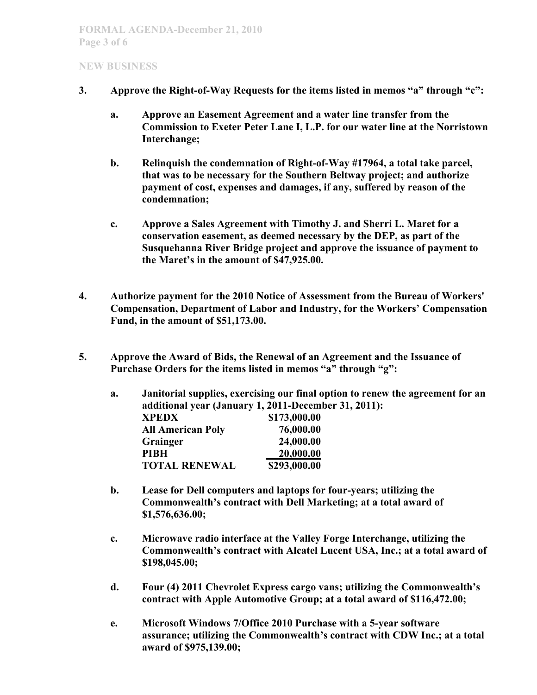- **3. Approve the Right-of-Way Requests for the items listed in memos "a" through "c":**
	- **a. Approve an Easement Agreement and a water line transfer from the Commission to Exeter Peter Lane I, L.P. for our water line at the Norristown Interchange;**
	- **b. Relinquish the condemnation of Right-of-Way #17964, a total take parcel, that was to be necessary for the Southern Beltway project; and authorize payment of cost, expenses and damages, if any, suffered by reason of the condemnation;**
	- **c. Approve a Sales Agreement with Timothy J. and Sherri L. Maret for a conservation easement, as deemed necessary by the DEP, as part of the Susquehanna River Bridge project and approve the issuance of payment to the Maret's in the amount of \$47,925.00.**
- **4. Authorize payment for the 2010 Notice of Assessment from the Bureau of Workers' Compensation, Department of Labor and Industry, for the Workers' Compensation Fund, in the amount of \$51,173.00.**
- **5. Approve the Award of Bids, the Renewal of an Agreement and the Issuance of Purchase Orders for the items listed in memos "a" through "g":**

| a. | Janitorial supplies, exercising our final option to renew the agreement for an<br>additional year (January 1, 2011-December 31, 2011): |                      |
|----|----------------------------------------------------------------------------------------------------------------------------------------|----------------------|
|    |                                                                                                                                        |                      |
|    | <b>All American Poly</b>                                                                                                               | 76,000.00            |
|    | Grainger                                                                                                                               | 24,000.00            |
|    | <b>PIBH</b>                                                                                                                            | 20,000.00            |
|    |                                                                                                                                        | <b>TOTAL RENEWAL</b> |

- **b. Lease for Dell computers and laptops for four-years; utilizing the Commonwealth's contract with Dell Marketing; at a total award of \$1,576,636.00;**
- **c. Microwave radio interface at the Valley Forge Interchange, utilizing the Commonwealth's contract with Alcatel Lucent USA, Inc.; at a total award of \$198,045.00;**
- **d. Four (4) 2011 Chevrolet Express cargo vans; utilizing the Commonwealth's contract with Apple Automotive Group; at a total award of \$116,472.00;**
- **e. Microsoft Windows 7/Office 2010 Purchase with a 5-year software assurance; utilizing the Commonwealth's contract with CDW Inc.; at a total award of \$975,139.00;**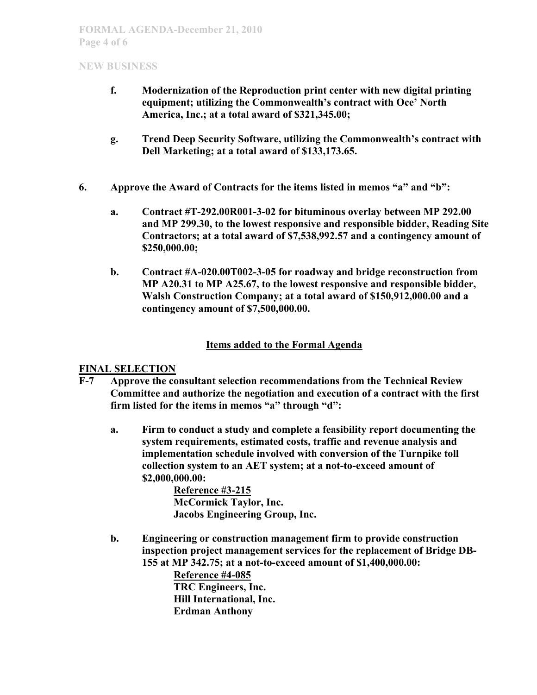- **f. Modernization of the Reproduction print center with new digital printing equipment; utilizing the Commonwealth's contract with Oce' North America, Inc.; at a total award of \$321,345.00;**
- **g. Trend Deep Security Software, utilizing the Commonwealth's contract with Dell Marketing; at a total award of \$133,173.65.**
- **6. Approve the Award of Contracts for the items listed in memos "a" and "b":**
	- **a. Contract #T-292.00R001-3-02 for bituminous overlay between MP 292.00 and MP 299.30, to the lowest responsive and responsible bidder, Reading Site Contractors; at a total award of \$7,538,992.57 and a contingency amount of \$250,000.00;**
	- **b. Contract #A-020.00T002-3-05 for roadway and bridge reconstruction from MP A20.31 to MP A25.67, to the lowest responsive and responsible bidder, Walsh Construction Company; at a total award of \$150,912,000.00 and a contingency amount of \$7,500,000.00.**

## **Items added to the Formal Agenda**

### **FINAL SELECTION**

- **F-7 Approve the consultant selection recommendations from the Technical Review Committee and authorize the negotiation and execution of a contract with the first firm listed for the items in memos "a" through "d":**
	- **a. Firm to conduct a study and complete a feasibility report documenting the system requirements, estimated costs, traffic and revenue analysis and implementation schedule involved with conversion of the Turnpike toll collection system to an AET system; at a not-to-exceed amount of \$2,000,000.00:**

**Reference #3-215 McCormick Taylor, Inc. Jacobs Engineering Group, Inc.**

**b. Engineering or construction management firm to provide construction inspection project management services for the replacement of Bridge DB-155 at MP 342.75; at a not-to-exceed amount of \$1,400,000.00:**

> **Reference #4-085 TRC Engineers, Inc. Hill International, Inc. Erdman Anthony**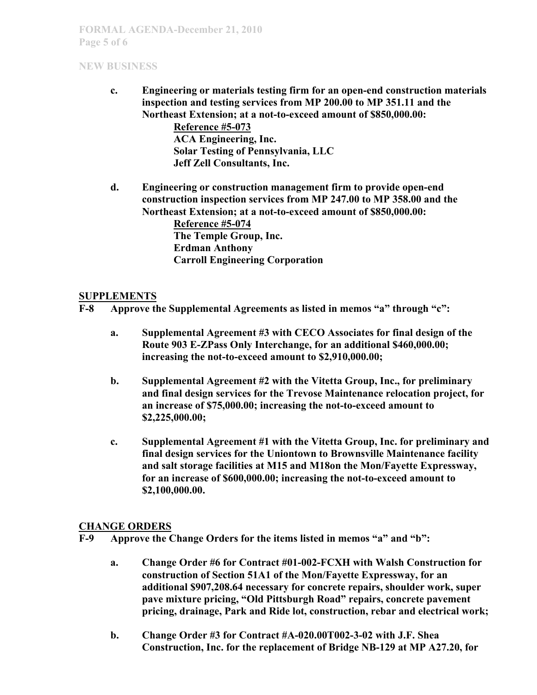**c. Engineering or materials testing firm for an open-end construction materials inspection and testing services from MP 200.00 to MP 351.11 and the Northeast Extension; at a not-to-exceed amount of \$850,000.00: Reference #5-073 ACA Engineering, Inc. Solar Testing of Pennsylvania, LLC**

**Jeff Zell Consultants, Inc.**

**d. Engineering or construction management firm to provide open-end construction inspection services from MP 247.00 to MP 358.00 and the Northeast Extension; at a not-to-exceed amount of \$850,000.00: Reference #5-074**

**The Temple Group, Inc. Erdman Anthony Carroll Engineering Corporation**

### **SUPPLEMENTS**

**F-8 Approve the Supplemental Agreements as listed in memos "a" through "c":**

- **a. Supplemental Agreement #3 with CECO Associates for final design of the Route 903 E-ZPass Only Interchange, for an additional \$460,000.00; increasing the not-to-exceed amount to \$2,910,000.00;**
- **b. Supplemental Agreement #2 with the Vitetta Group, Inc., for preliminary and final design services for the Trevose Maintenance relocation project, for an increase of \$75,000.00; increasing the not-to-exceed amount to \$2,225,000.00;**
- **c. Supplemental Agreement #1 with the Vitetta Group, Inc. for preliminary and final design services for the Uniontown to Brownsville Maintenance facility and salt storage facilities at M15 and M18on the Mon/Fayette Expressway, for an increase of \$600,000.00; increasing the not-to-exceed amount to \$2,100,000.00.**

### **CHANGE ORDERS**

**F-9 Approve the Change Orders for the items listed in memos "a" and "b":**

- **a. Change Order #6 for Contract #01-002-FCXH with Walsh Construction for construction of Section 51A1 of the Mon/Fayette Expressway, for an additional \$907,208.64 necessary for concrete repairs, shoulder work, super pave mixture pricing, "Old Pittsburgh Road" repairs, concrete pavement pricing, drainage, Park and Ride lot, construction, rebar and electrical work;**
- **b. Change Order #3 for Contract #A-020.00T002-3-02 with J.F. Shea Construction, Inc. for the replacement of Bridge NB-129 at MP A27.20, for**